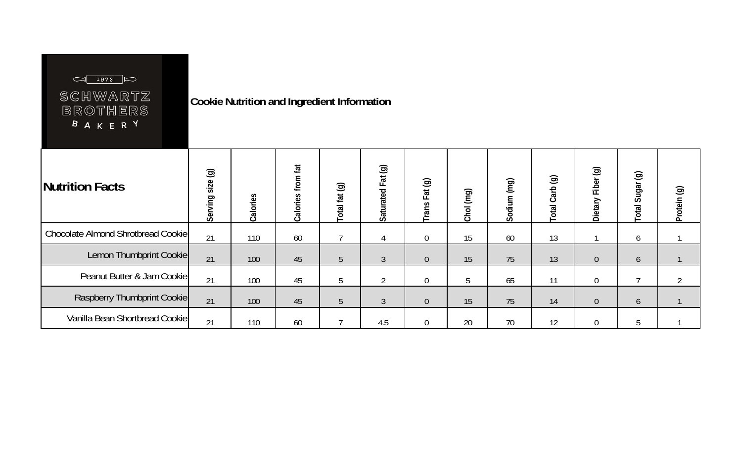

## SCHWARTZ BROTHERS B A K E R Y

**Cookie Nutrition and Ingredient Information** 

| Nutrition Facts                    | $\odot$<br>size<br>Serving | Calories | tat<br>from<br>v<br>Calories | Total fat (g) | Fat (g)<br>Saturated | Fat (g)<br>Trans | Chol (mg) | (mq)<br>Sodium | Total Carb (g) | $\odot$<br>Fiber<br>Dietary | $\circledcirc$<br>Sugar<br><b>Total</b> | $\circledcirc$<br>Protein |
|------------------------------------|----------------------------|----------|------------------------------|---------------|----------------------|------------------|-----------|----------------|----------------|-----------------------------|-----------------------------------------|---------------------------|
| Chocolate Almond Shrotbread Cookie | 21                         | 110      | 60                           |               | 4                    | $\theta$         | 15        | 60             | 13             |                             | 6                                       |                           |
| Lemon Thumbprint Cookie            | 21                         | 100      | 45                           | 5             | $\mathfrak{Z}$       | $\overline{0}$   | 15        | 75             | 13             | $\overline{0}$              | 6                                       |                           |
| Peanut Butter & Jam Cookie         | 21                         | 100      | 45                           | 5             | $\sim$               | $\overline{0}$   | 5         | 65             | 11             | $\overline{0}$              | ⇁                                       |                           |
| Raspberry Thumbprint Cookie        | 21                         | 100      | 45                           | 5             | $\mathfrak{Z}$       | $\overline{0}$   | 15        | 75             | 14             | $\overline{0}$              | 6                                       |                           |
| Vanilla Bean Shortbread Cookie     | 21                         | 110      | 60                           |               | 4.5                  | $\overline{0}$   | 20        | 70             | 12             | $\overline{0}$              | 5                                       |                           |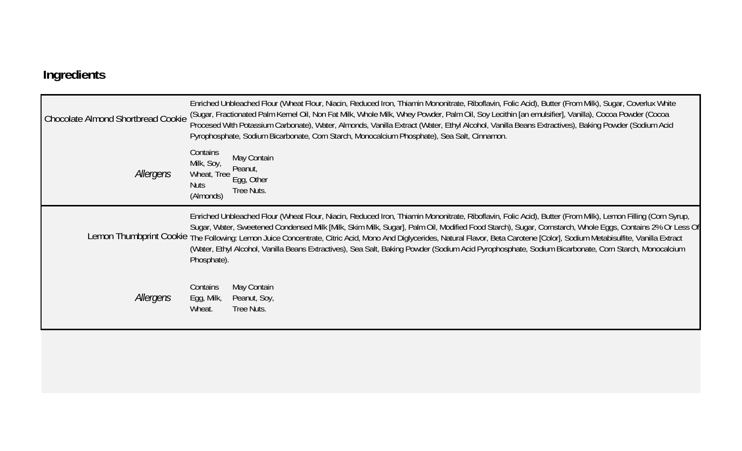## **Ingredients**

| Chocolate Almond Shortbread Cookie | Enriched Unbleached Flour (Wheat Flour, Niacin, Reduced Iron, Thiamin Mononitrate, Riboflavin, Folic Acid), Butter (From Milk), Sugar, Coverlux White<br>(Sugar, Fractionated Palm Kernel Oil, Non Fat Milk, Whole Milk, Whey Powder, Palm Oil, Soy Lecithin [an emulsifier], Vanilla), Cocoa Powder (Cocoa<br>Procesed With Potassium Carbonate), Water, Almonds, Vanilla Extract (Water, Ethyl Alcohol, Vanilla Beans Extractives), Baking Powder (Sodium Acid<br>Pyrophosphate, Sodium Bicarbonate, Corn Starch, Monocalcium Phosphate), Sea Salt, Cinnamon.                                                                                                                 |
|------------------------------------|---------------------------------------------------------------------------------------------------------------------------------------------------------------------------------------------------------------------------------------------------------------------------------------------------------------------------------------------------------------------------------------------------------------------------------------------------------------------------------------------------------------------------------------------------------------------------------------------------------------------------------------------------------------------------------|
| Allergens                          | Contains<br>May Contain<br>Milk, Soy,<br>Peanut,<br>Wheat, Tree<br>Egg, Other<br><b>Nuts</b><br>Tree Nuts.<br>(Almonds)                                                                                                                                                                                                                                                                                                                                                                                                                                                                                                                                                         |
|                                    | Enriched Unbleached Flour (Wheat Flour, Niacin, Reduced Iron, Thiamin Mononitrate, Riboflavin, Folic Acid), Butter (From Milk), Lemon Filling (Corn Syrup,<br>Sugar, Water, Sweetened Condensed Milk [Milk, Skim Milk, Sugar], Palm Oil, Modified Food Starch), Sugar, Cornstarch, Whole Eggs, Contains 2% Or Less Of<br>Lemon Thumbprint Cookie The Following: Lemon Juice Concentrate, Citric Acid, Mono And Diglycerides, Natural Flavor, Beta Carotene [Color], Sodium Metabisulfite, Vanilla Extract<br>(Water, Ethyl Alcohol, Vanilla Beans Extractives), Sea Salt, Baking Powder (Sodium Acid Pyrophosphate, Sodium Bicarbonate, Corn Starch, Monocalcium<br>Phosphate). |
| Allergens                          | May Contain<br>Contains<br>Egg, Milk,<br>Peanut, Soy,<br>Wheat.<br>Tree Nuts.                                                                                                                                                                                                                                                                                                                                                                                                                                                                                                                                                                                                   |